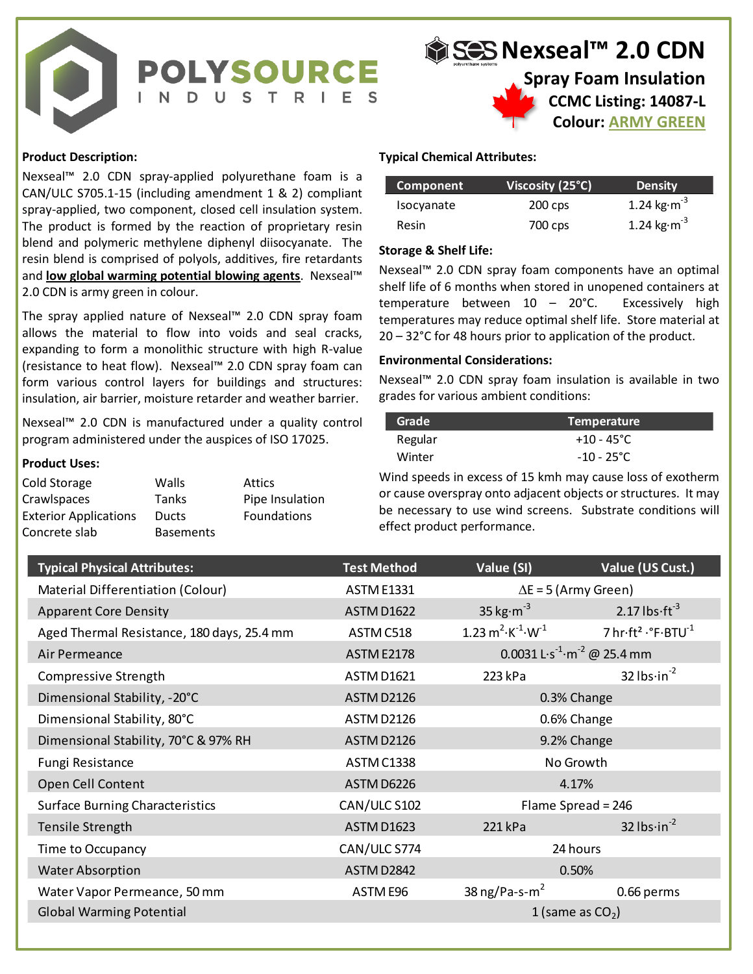

# **Nexseal™ 2.0 CDN Spray Foam Insulation**

**CCMC Listing: 14087-L Colour: ARMY GREEN**

# **Product Description:**

Nexseal™ 2.0 CDN spray-applied polyurethane foam is a CAN/ULC S705.1-15 (including amendment 1 & 2) compliant spray-applied, two component, closed cell insulation system. The product is formed by the reaction of proprietary resin blend and polymeric methylene diphenyl diisocyanate. The resin blend is comprised of polyols, additives, fire retardants and **low global warming potential blowing agents**. Nexseal™ 2.0 CDN is army green in colour.

## **Product Uses:**

| Cold Storage                 | Walls            | Attics          |
|------------------------------|------------------|-----------------|
| Crawlspaces                  | <b>Tanks</b>     | Pipe Insulation |
| <b>Exterior Applications</b> | <b>Ducts</b>     | Foundations     |
| Concrete slab                | <b>Basements</b> |                 |

# **Typical Chemical Attributes:**

| Component    | Viscosity (25°C) | <b>Density</b>                  |
|--------------|------------------|---------------------------------|
| Isocyanate   | $200$ cps        | 1.24 kg $\cdot$ m <sup>-3</sup> |
| <b>Resin</b> | 700 cps          | 1.24 kg $\cdot$ m <sup>-3</sup> |

## **Storage & Shelf Life:**

## **Environmental Considerations:**

| <b>Grade</b> | Temperature          |
|--------------|----------------------|
| Regular      | $+10 - 45^{\circ}$ C |
| Winter       | $-10 - 25^{\circ}$ C |

| AN/ULC S705.1-15 (including amendment 1 & 2) compliant                                                                     |                                  |                 | <b>Component</b>                 |                                                            | Viscosity (25°C)                                    | <b>Density</b>                                                                                                                |
|----------------------------------------------------------------------------------------------------------------------------|----------------------------------|-----------------|----------------------------------|------------------------------------------------------------|-----------------------------------------------------|-------------------------------------------------------------------------------------------------------------------------------|
| pray-applied, two component, closed cell insulation system.                                                                |                                  |                 | Isocyanate                       |                                                            | 200 cps                                             | 1.24 $kg·m-3$                                                                                                                 |
| he product is formed by the reaction of proprietary resin                                                                  |                                  |                 | Resin                            |                                                            | 700 cps                                             | 1.24 kg $\cdot$ m <sup>-3</sup>                                                                                               |
| lend and polymeric methylene diphenyl diisocyanate. The                                                                    |                                  |                 | <b>Storage &amp; Shelf Life:</b> |                                                            |                                                     |                                                                                                                               |
| esin blend is comprised of polyols, additives, fire retardants<br>nd low global warming potential blowing agents. Nexseal™ |                                  |                 |                                  |                                                            |                                                     | Nexseal™ 2.0 CDN spray foam components have an optimal                                                                        |
| .0 CDN is army green in colour.                                                                                            |                                  |                 |                                  |                                                            |                                                     | shelf life of 6 months when stored in unopened containers at                                                                  |
| he spray applied nature of Nexseal™ 2.0 CDN spray foam                                                                     |                                  |                 |                                  | temperature between $10 - 20^{\circ}$ C.                   |                                                     | Excessively high                                                                                                              |
| llows the material to flow into voids and seal cracks,                                                                     |                                  |                 |                                  |                                                            |                                                     | temperatures may reduce optimal shelf life. Store material at<br>20 - 32°C for 48 hours prior to application of the product.  |
| xpanding to form a monolithic structure with high R-value                                                                  |                                  |                 |                                  | <b>Environmental Considerations:</b>                       |                                                     |                                                                                                                               |
| resistance to heat flow). Nexseal™ 2.0 CDN spray foam can                                                                  |                                  |                 |                                  |                                                            |                                                     | Nexseal™ 2.0 CDN spray foam insulation is available in two                                                                    |
| orm various control layers for buildings and structures:<br>nsulation, air barrier, moisture retarder and weather barrier. |                                  |                 |                                  | grades for various ambient conditions:                     |                                                     |                                                                                                                               |
| lexseal™ 2.0 CDN is manufactured under a quality control                                                                   |                                  |                 | Grade                            |                                                            | <b>Temperature</b>                                  |                                                                                                                               |
| rogram administered under the auspices of ISO 17025.                                                                       |                                  |                 | Regular                          |                                                            | $+10 - 45^{\circ}C$                                 |                                                                                                                               |
| roduct Uses:                                                                                                               |                                  |                 | Winter                           |                                                            | $-10 - 25^{\circ}C$                                 |                                                                                                                               |
| old Storage                                                                                                                | Walls                            | <b>Attics</b>   |                                  |                                                            |                                                     | Wind speeds in excess of 15 kmh may cause loss of exotherm                                                                    |
| crawlspaces                                                                                                                | Tanks                            | Pipe Insulation |                                  |                                                            |                                                     | or cause overspray onto adjacent objects or structures. It may<br>be necessary to use wind screens. Substrate conditions will |
| xterior Applications<br>oncrete slab                                                                                       | <b>Ducts</b><br><b>Basements</b> | Foundations     |                                  | effect product performance.                                |                                                     |                                                                                                                               |
|                                                                                                                            |                                  |                 |                                  |                                                            |                                                     |                                                                                                                               |
| <b>Typical Physical Attributes:</b>                                                                                        |                                  |                 | <b>Test Method</b>               | Value (SI)                                                 |                                                     | Value (US Cust.)                                                                                                              |
| Material Differentiation (Colour)                                                                                          |                                  |                 | <b>ASTM E1331</b>                |                                                            | $\Delta E$ = 5 (Army Green)                         |                                                                                                                               |
| <b>Apparent Core Density</b>                                                                                               |                                  |                 | <b>ASTM D1622</b>                | 35 kg $\cdot$ m <sup>-3</sup>                              |                                                     | 2.17 $\text{lbs·ft}^{-3}$                                                                                                     |
| Aged Thermal Resistance, 180 days, 25.4 mm                                                                                 |                                  |                 | ASTM C518                        | $1.23 \text{ m}^2 \cdot \text{K}^{-1} \cdot \text{W}^{-1}$ |                                                     | 7 hr·ft <sup>2</sup> · °F·BTU <sup>-1</sup>                                                                                   |
| Air Permeance                                                                                                              |                                  |                 | <b>ASTM E2178</b>                |                                                            | 0.0031 L·s <sup>-1</sup> ·m <sup>-2</sup> @ 25.4 mm |                                                                                                                               |
| Compressive Strength                                                                                                       |                                  |                 | <b>ASTM D1621</b>                | 223 kPa                                                    |                                                     | 32 $lbs-in^{-2}$                                                                                                              |
| Dimensional Stability, -20°C                                                                                               |                                  |                 | ASTM D2126                       |                                                            | 0.3% Change                                         |                                                                                                                               |
| Dimensional Stability, 80°C                                                                                                |                                  |                 | ASTM D2126                       |                                                            | 0.6% Change                                         |                                                                                                                               |
| Dimensional Stability, 70°C & 97% RH                                                                                       |                                  |                 | ASTM D2126                       |                                                            | 9.2% Change                                         |                                                                                                                               |
| Fungi Resistance                                                                                                           |                                  |                 | ASTM C1338                       |                                                            | No Growth                                           |                                                                                                                               |
| Open Cell Content                                                                                                          |                                  |                 | ASTM D6226                       |                                                            | 4.17%                                               |                                                                                                                               |
| <b>Surface Burning Characteristics</b>                                                                                     |                                  |                 | CAN/ULC S102                     |                                                            | Flame Spread = 246                                  |                                                                                                                               |
| Tensile Strength                                                                                                           |                                  |                 | <b>ASTM D1623</b>                | 221 kPa                                                    |                                                     | 32 $lbs\cdot in^{-2}$                                                                                                         |
| Time to Occupancy                                                                                                          |                                  |                 | CAN/ULC S774                     |                                                            | 24 hours                                            |                                                                                                                               |
| <b>Water Absorption</b>                                                                                                    |                                  |                 | ASTM D2842                       |                                                            | 0.50%                                               |                                                                                                                               |
| Water Vapor Permeance, 50 mm                                                                                               |                                  |                 | ASTM E96                         | 38 ng/Pa-s- $m2$                                           |                                                     | 0.66 perms                                                                                                                    |
| <b>Global Warming Potential</b>                                                                                            |                                  |                 |                                  |                                                            | 1 (same as $CO2$ )                                  |                                                                                                                               |
|                                                                                                                            |                                  |                 |                                  |                                                            |                                                     |                                                                                                                               |